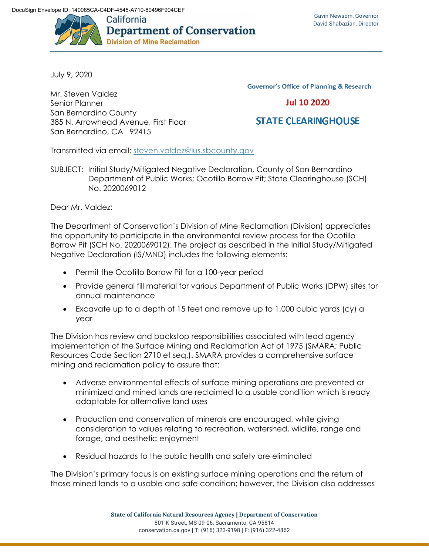

July 9, 2020

Mr. Steven Valdez Senior Planner San Bernardino County 385 N. Arrowhead Avenue, First Floor San Bernardino, CA 92415

**Governor's Office of Planning & Research** 

**Jul 10 2020** 

## **STATE CLEARINGHOUSE**

Transmitted via email: steven.valdez@lus.sbcounty.gov

SUBJECT: Initial Study/Mitigated Negative Declaration, County of San Bernardino Department of Public Works; Ocotillo Borrow Pit; State Clearinghouse (SCH) No. 2020069012

Dear Mr. Valdez:

The Department of Conservation's Division of Mine Reclamation (Division) appreciates the opportunity to participate in the environmental review process for the Ocotillo Borrow Pit (SCH No. 2020069012). The project as described in the Initial Study/Mitigated Negative Declaration (IS/MND) includes the following elements:

- Permit the Ocotillo Borrow Pit for a 100-year period
- Provide general fill material for various Department of Public Works (DPW) sites for annual maintenance
- Excavate up to a depth of 15 feet and remove up to 1,000 cubic yards (cy) a year

The Division has review and backstop responsibilities associated with lead agency implementation of the Surface Mining and Reclamation Act of 1975 (SMARA; Public Resources Code Section 2710 et seq.). SMARA provides a comprehensive surface mining and reclamation policy to assure that:

- Adverse environmental effects of surface mining operations are prevented or minimized and mined lands are reclaimed to a usable condition which is ready adaptable for alternative land uses
- Production and conservation of minerals are encouraged, while giving consideration to values relating to recreation, watershed, wildlife, range and forage, and aesthetic enjoyment
- Residual hazards to the public health and safety are eliminated

The Division's primary focus is on existing surface mining operations and the return of those mined lands to a usable and safe condition; however, the Division also addresses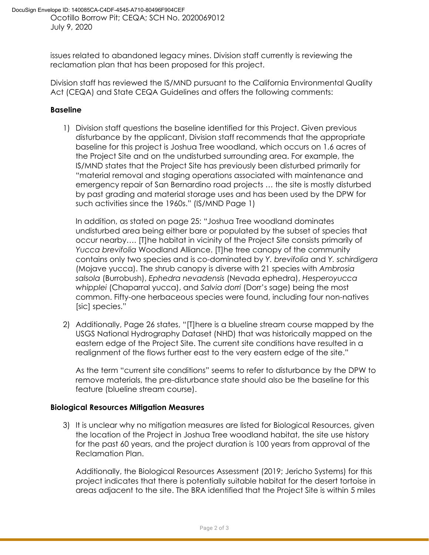issues related to abandoned legacy mines. Division staff currently is reviewing the reclamation plan that has been proposed for this project.

Division staff has reviewed the IS/MND pursuant to the California Environmental Quality Act (CEQA) and State CEQA Guidelines and offers the following comments:

## **Baseline**

1) Division staff questions the baseline identified for this Project. Given previous disturbance by the applicant, Division staff recommends that the appropriate baseline for this project is Joshua Tree woodland, which occurs on 1.6 acres of the Project Site and on the undisturbed surrounding area. For example, the IS/MND states that the Project Site has previously been disturbed primarily for "material removal and staging operations associated with maintenance and emergency repair of San Bernardino road projects … the site is mostly disturbed by past grading and material storage uses and has been used by the DPW for such activities since the 1960s." (IS/MND Page 1)

In addition, as stated on page 25: "Joshua Tree woodland dominates undisturbed area being either bare or populated by the subset of species that occur nearby…. [T]he habitat in vicinity of the Project Site consists primarily of *Yucca brevifolia* Woodland Alliance. [T]he tree canopy of the community contains only two species and is co-dominated by *Y. brevifolia* and *Y. schirdigera* (Mojave yucca). The shrub canopy is diverse with 21 species with *Ambrosia salsola* (Burrobush), *Ephedra nevadensis* (Nevada ephedra), *Hesperoyucca whipplei* (Chaparral yucca), and *Salvia dorri* (Dorr's sage) being the most common. Fifty-one herbaceous species were found, including four non-natives [sic] species."

2) Additionally, Page 26 states, "[T]here is a blueline stream course mapped by the USGS National Hydrography Dataset (NHD) that was historically mapped on the eastern edge of the Project Site. The current site conditions have resulted in a realignment of the flows further east to the very eastern edge of the site."

As the term "current site conditions" seems to refer to disturbance by the DPW to remove materials, the pre-disturbance state should also be the baseline for this feature (blueline stream course).

## **Biological Resources Mitigation Measures**

3) It is unclear why no mitigation measures are listed for Biological Resources, given the location of the Project in Joshua Tree woodland habitat, the site use history for the past 60 years, and the project duration is 100 years from approval of the Reclamation Plan.

Additionally, the Biological Resources Assessment (2019; Jericho Systems) for this project indicates that there is potentially suitable habitat for the desert tortoise in areas adjacent to the site. The BRA identified that the Project Site is within 5 miles